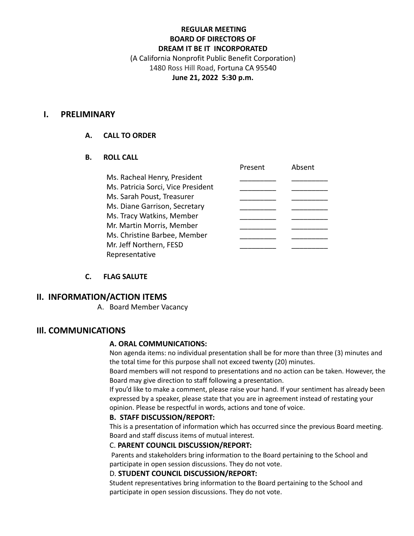## **REGULAR MEETING BOARD OF DIRECTORS OF DREAM IT BE IT INCORPORATED** (A California Nonprofit Public Benefit Corporation) 1480 Ross Hill Road, Fortuna CA 95540

## **June 21, 2022 5:30 p.m.**

## **I. PRELIMINARY**

## **A. CALL TO ORDER**

## **B. ROLL CALL**

|                                    | Present i | ADSEIIL |
|------------------------------------|-----------|---------|
| Ms. Racheal Henry, President       |           |         |
| Ms. Patricia Sorci, Vice President |           |         |
| Ms. Sarah Poust, Treasurer         |           |         |
| Ms. Diane Garrison, Secretary      |           |         |
| Ms. Tracy Watkins, Member          |           |         |
| Mr. Martin Morris, Member          |           |         |
| Ms. Christine Barbee, Member       |           |         |
| Mr. Jeff Northern, FESD            |           |         |
| Representative                     |           |         |
|                                    |           |         |

## **C. FLAG SALUTE**

# **II. INFORMATION/ACTION ITEMS**

A. Board Member Vacancy

# **IIl. COMMUNICATIONS**

#### **A. ORAL COMMUNICATIONS:**

Non agenda items: no individual presentation shall be for more than three (3) minutes and the total time for this purpose shall not exceed twenty (20) minutes.

Present Absent

Board members will not respond to presentations and no action can be taken. However, the Board may give direction to staff following a presentation.

If you'd like to make a comment, please raise your hand. If your sentiment has already been expressed by a speaker, please state that you are in agreement instead of restating your opinion. Please be respectful in words, actions and tone of voice.

#### **B. STAFF DISCUSSION/REPORT:**

This is a presentation of information which has occurred since the previous Board meeting. Board and staff discuss items of mutual interest.

## C. **PARENT COUNCIL DISCUSSION/REPORT:**

Parents and stakeholders bring information to the Board pertaining to the School and participate in open session discussions. They do not vote.

## D. **STUDENT COUNCIL DISCUSSION/REPORT:**

Student representatives bring information to the Board pertaining to the School and participate in open session discussions. They do not vote.